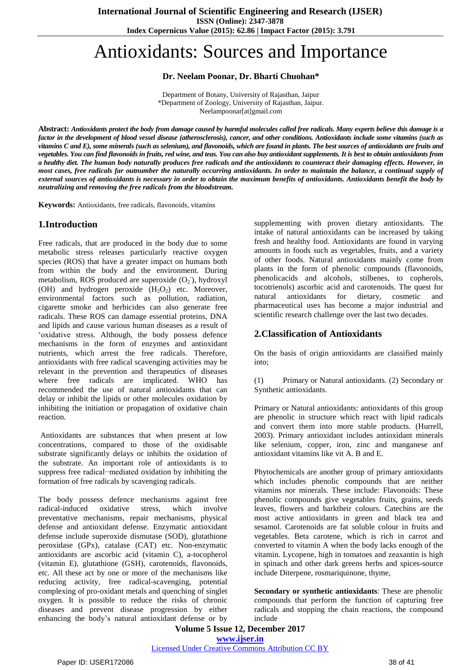# Antioxidants: Sources and Importance

**Dr. Neelam Poonar, Dr. Bharti Chuohan\***

Department of Botany, University of Rajasthan, Jaipur \*Department of Zoology, University of Rajasthan, Jaipur. Neelampoonar[at]gmail.com

Abstract: Antioxidants protect the body from damage caused by harmful molecules called free [radicals.](https://www.webmd.com/hw-popup/free-radicals) Many experts believe this damage is a factor in the development of [blood](https://www.webmd.com/heart/anatomy-picture-of-blood) vessel disease [\(atherosclerosis\)](https://www.webmd.com/hw-popup/atherosclerosis-8374)[, cancer,](https://www.webmd.com/cancer/default.htm) and other conditions. Antioxidants include some [vitamins](https://www.webmd.com/vitamins-and-supplements/tc/vitamins-their-functions-and-sources-topic-overview) (such as vitamins C and E), some [minerals](https://www.webmd.com/vitamins-and-supplements/tc/minerals-their-functions-and-sources-topic-overview) (such as [selenium\)](https://www.webmd.com/vitamins-supplements/ingredientmono-1003-selenium.aspx?activeingredientid=1003&activeingredientname=selenium), and flavonoids, which are found in plants. The best sources of antioxidants are [fruits](https://www.webmd.com/food-recipes/ss/slideshow-exotic-fruits) and [vegetables.](https://www.webmd.com/food-recipes/ss/slideshow-exotic-fruits) You can find flavonoids in fruits, red wine, and teas. You can also buy antioxidant [supplements.](https://www.webmd.com/vitamins-and-supplements/lifestyle-guide-11/default.htm) It is best to obtain antioxidants from a healthy diet. The human body naturally produces free radicals and the antioxidants to counteract their damaging effects. However, in most cases, free radicals far outnumber the naturally occurring antioxidants. In order to maintain the balance, a continual supply of external sources of antioxidants is necessary in order to obtain the maximum benefits of antioxidants. Antioxidants benefit the body by *neutralizing and removing the free [radicals](http://www.nutrex-hawaii.com/oxidative-stressfree-radicals) from the bloodstream.*

**Keywords:** Antioxidants, free radicals, flavonoids, vitamins

## **1.Introduction**

Free radicals, that are produced in the body due to some metabolic stress releases particularly reactive oxygen species (ROS) that have a greater impact on humans both from within the body and the environment. During metabolism, ROS produced are superoxide  $(O_2)$ , hydroxyl (OH) and hydrogen peroxide  $(H_2O_2)$  etc. Moreover, environmental factors such as pollution, radiation, cigarette smoke and herbicides can also generate free radicals. These ROS can damage essential proteins, DNA and lipids and cause various human diseases as a result of 'oxidative stress. Although, the body possess defence mechanisms in the form of enzymes and antioxidant nutrients, which arrest the free radicals. Therefore, antioxidants with free radical scavenging activities may be relevant in the prevention and therapeutics of diseases where free radicals are implicated. WHO has recommended the use of natural antioxidants that can delay or inhibit the lipids or other molecules oxidation by inhibiting the initiation or propagation of oxidative chain reaction.

Antioxidants are substances that when present at low concentrations, compared to those of the oxidisable substrate significantly delays or inhibits the oxidation of the substrate. An important role of antioxidants is to suppress free radical−mediated oxidation by inhibiting the formation of free radicals by scavenging radicals.

The body possess defence mechanisms against free radical-induced oxidative stress, which involve preventative mechanisms, repair mechanisms, physical defense and antioxidant defense. Enzymatic antioxidant defense include superoxide dismutase (SOD), glutathione peroxidase (GPx), catalase (CAT) etc. Non-enzymatic antioxidants are ascorbic acid (vitamin C), a-tocopherol (vitamin E), glutathione (GSH), carotenoids, flavonoids, etc. All these act by one or more of the mechanisms like reducing activity, free radical-scavenging, potential complexing of pro-oxidant metals and quenching of singlet oxygen. It is possible to reduce the risks of chronic diseases and prevent disease progression by either enhancing the body's natural antioxidant defense or by

supplementing with proven dietary antioxidants. The intake of natural antioxidants can be increased by taking fresh and healthy food. Antioxidants are found in varying amounts in foods such as vegetables, fruits, and a variety of other foods. Natural antioxidants mainly come from plants in the form of phenolic compounds (flavonoids, phenolicacids and alcohols, stilbenes, to copherols, tocotrienols) ascorbic acid and carotenoids. The quest for natural antioxidants for dietary, cosmetic and pharmaceutical uses has become a major industrial and scientific research challenge over the last two decades.

## **2.Classification of Antioxidants**

On the basis of origin antioxidants are classified mainly into;

(1) Primary or Natural antioxidants. (2) Secondary or Synthetic antioxidants.

Primary or Natural antioxidants: antioxidants of this group are phenolic in structure which react with lipid radicals and convert them into more stable products. (Hurrell, 2003). Primary antioxidant includes antioxidant minerals like selenium, copper, iron, zinc and manganese anf antioxidant vitamins like vit A. B and E.

Phytochemicals are another group of primary antioxidants which includes phenolic compounds that are neither vitamins nor minerals. These include: Flavonoids: These phenolic compounds give vegetables fruits, grains, seeds leaves, flowers and barktheir colours. Catechins are the most active antioxidants in green and black tea and sesamol. Carotenoids are fat soluble colour in fruits and vegetables. Beta carotene, which is rich in carrot and converted to vitamin A when the body lacks enough of the vitamin. Lycopene, high in tomatoes and zeaxantin is high in spinach and other dark greens herbs and spices-source include Diterpene, rosmariquinone, thyme,

**Secondary or synthetic antioxidants**: These are phenolic compounds that perform the function of capturing free radicals and stopping the chain reactions, the compound include

**Volume 5 Issue 12, December 2017 <www.ijser.in>**

[Licensed Under Creative Commons Attribution CC BY](http://creativecommons.org/licenses/by/4.0/)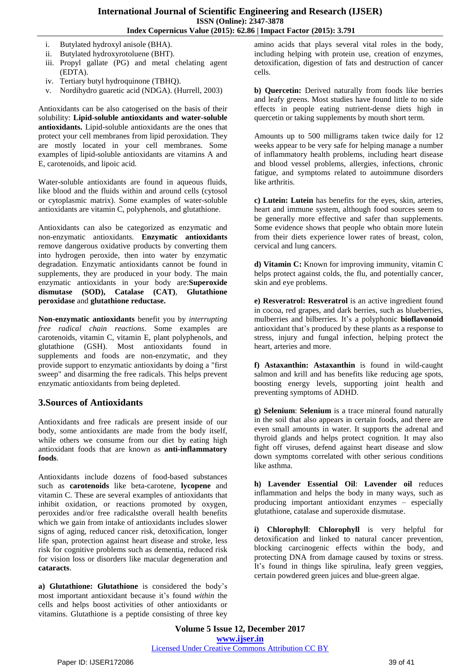- i. Butylated hydroxyl anisole (BHA).
- ii. Butylated hydroxyrotoluene (BHT).
- iii. Propyl gallate (PG) and metal chelating agent (EDTA).
- iv. Tertiary butyl hydroquinone (TBHQ).
- v. Nordihydro guaretic acid (NDGA). (Hurrell, 2003)

Antioxidants can be also catogerised on the basis of their solubility: **Lipid-soluble antioxidants and water-soluble antioxidants.** Lipid-soluble antioxidants are the ones that protect your cell membranes from lipid peroxidation. They are mostly located in your cell membranes. Some examples of lipid-soluble antioxidants are vitamins A and E, carotenoids, and lipoic acid.

Water-soluble antioxidants are found in aqueous fluids, like blood and the fluids within and around cells (cytosol or cytoplasmic matrix). Some examples of water-soluble antioxidants are vitamin C, polyphenols, and glutathione.

Antioxidants can also be categorized as enzymatic and non-enzymatic antioxidants. **Enzymatic antioxidants** remove dangerous oxidative products by converting them into hydrogen peroxide, then into water by enzymatic degradation. Enzymatic antioxidants cannot be found in supplements, they are produced in your body. The main enzymatic antioxidants in your body are:**Superoxide dismutase (SOD), Catalase (CAT)**, **Glutathione peroxidase** and **glutathione reductase.**

**Non-enzymatic antioxidants** benefit you by *interrupting free radical chain reactions*. Some examples are carotenoids, [vitamin](http://articles.mercola.com/sites/articles/archive/2009/09/24/IV-Vitamin-C-Used-to-Recover-Terminal-Swine-Flu-Case.aspx) C, vitamin E, plant polyphenols, and glutathione (GSH). Most antioxidants found in supplements and foods are non-enzymatic, and they provide support to enzymatic antioxidants by doing a "first sweep" and disarming the free radicals. This helps prevent enzymatic antioxidants from being depleted.

### **3.Sources of Antioxidants**

Antioxidants and free radicals are present inside of our body, some antioxidants are made from the body itself, while others we consume from our diet by eating high antioxidant foods that are known as **[anti-inflammatory](https://draxe.com/anti-inflammatory-foods/) [foods](https://draxe.com/anti-inflammatory-foods/)**.

Antioxidants include dozens of food-based substances such as **[carotenoids](https://draxe.com/carotenoids/)** like beta-carotene, **[lycopene](https://draxe.com/lycopene/)** and vitamin C. These are several examples of antioxidants that inhibit oxidation, or reactions promoted by oxygen, peroxides and/or free radicalsthe overall health benefits which we gain from intake of antioxidants includes slower signs of aging, reduced cancer risk, detoxification, longer life span, protection against heart disease and stroke, less risk for cognitive problems such as dementia, reduced risk for vision loss or disorders like macular degeneration and **[cataracts](https://draxe.com/cataract-symptoms/)**.

**a) Glutathione: [Glutathione](https://draxe.com/glutathione/)** is considered the body's most important antioxidant because it's found *within* the cells and helps boost activities of other antioxidants or vitamins. Glutathione is a peptide consisting of three key

amino acids that plays several vital roles in the body, including helping with protein use, creation of enzymes, detoxification, digestion of fats and destruction of cancer cells.

**b) Quercetin:** Derived naturally from foods like berries and leafy greens. Most studies have found little to no side effects in people eating nutrient-dense diets high in quercetin or taking supplements by mouth short term.

Amounts up to 500 milligrams taken twice daily for 12 weeks appear to be very safe for helping manage a number of inflammatory health problems, including heart disease and blood vessel problems, allergies, infections, chronic fatigue, and symptoms related to autoimmune disorders like arthritis.

**c) Lutein: [Lutein](https://draxe.com/lutein/)** has benefits for the eyes, skin, arteries, heart and immune system, although food sources seem to be generally more effective and safer than supplements. Some evidence shows that people who obtain more lutein from their diets experience lower rates of breast, colon, cervical and lung cancers.

**d) Vitamin C:** Known for improving immunity, vitamin C helps protect against colds, the flu, and potentially cancer, skin and eye problems.

**e) Resveratrol: [Resveratrol](https://draxe.com/all-about-resveratrol/)** is an active ingredient found in cocoa, red grapes, and dark berries, such as blueberries, mulberries and bilberries. It's a polyphonic **[bioflavonoid](https://draxe.com/bioflavonoids/)** antioxidant that's produced by these plants as a response to stress, injury and fungal infection, helping protect the heart, arteries and more.

**f) Astaxanthin: [Astaxanthin](https://draxe.com/astaxanthin-benefits/)** is found in wild-caught salmon and krill and has benefits like reducing age spots, boosting energy levels, supporting joint health and preventing symptoms of ADHD.

**g) Selenium**: **[Selenium](https://draxe.com/selenium-benefits/)** is a trace mineral found naturally in the soil that also appears in certain foods, and there are even small amounts in water. It supports the adrenal and thyroid glands and helps protect cognition. It may also fight off viruses, defend against heart disease and slow down symptoms correlated with other serious conditions like asthma.

**h) Lavender Essential Oil**: **[Lavender](https://draxe.com/lavender-oil-benefits/) oil** reduces inflammation and helps the body in many ways, such as producing important antioxidant enzymes – especially glutathione, catalase and superoxide dismutase.

**i) Chlorophyll**: **[Chlorophyll](https://draxe.com/chlorophyll-benefits/)** is very helpful for detoxification and linked to natural cancer prevention, blocking carcinogenic effects within the body, and protecting DNA from damage caused by toxins or stress. It's found in things like spirulina, leafy green veggies, certain powdered green juices and blue-green algae.

**Volume 5 Issue 12, December 2017 <www.ijser.in>** [Licensed Under Creative Commons Attribution CC BY](http://creativecommons.org/licenses/by/4.0/)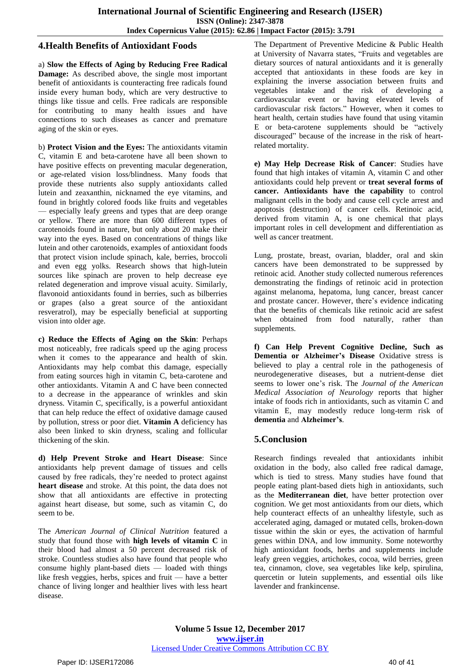### **4.Health Benefits of Antioxidant Foods**

a) **Slow the Effects of Aging by Reducing Free Radical Damage:** As described above, the single most important benefit of antioxidants is counteracting free radicals found inside every human body, which are very destructive to things like tissue and cells. Free radicals are responsible for contributing to many health issues and have connections to such diseases as cancer and premature aging of the skin or eyes.

b) **Protect Vision and the Eyes:** The antioxidants vitamin C, [vitamin](https://draxe.com/vitamin-e-benefits/) E and beta-carotene have all been shown to have positive effects on preventing macular [degeneration,](https://draxe.com/macular-degeneration-symptoms/) or age-related vision loss/blindness. Many foods that provide these nutrients also supply antioxidants called lutein and zeaxanthin, nicknamed the eye [vitamins,](https://draxe.com/eye-vitamins/) and found in brightly colored foods like fruits and vegetables — especially leafy greens and types that are deep orange or yellow. There are more than 600 different types of carotenoids found in nature, but only about 20 make their way into the eyes. Based on concentrations of things like lutein and other carotenoids, examples of antioxidant foods that protect vision include spinach, kale, berries, broccoli and even egg yolks. Research shows that high-lutein sources like spinach are proven to help decrease eye related degeneration and improve visual acuity. Similarly, flavonoid antioxidants found in berries, such as bilberries or grapes (also a great source of the antioxidant resveratrol), may be especially beneficial at supporting vision into older age.

**c) Reduce the Effects of Aging on the Skin**: Perhaps most noticeably, free radicals speed up the aging process when it comes to the appearance and health of skin. Antioxidants may help combat this damage, especially from eating sources high in vitamin C, beta-carotene and other antioxidants. Vitamin A and C have been connected to a decrease in the appearance of wrinkles and skin dryness. Vitamin C, specifically, is a powerful antioxidant that can help reduce the effect of oxidative damage caused by pollution, stress or poor diet. **[Vitamin](https://draxe.com/vitamin-a/) A** deficiency has also been linked to skin dryness, scaling and follicular thickening of the skin.

**d) Help Prevent Stroke and Heart Disease**: Since antioxidants help prevent damage of tissues and cells caused by free radicals, they're needed to protect against **heart [disease](https://draxe.com/coronary-heart-disease/)** and stroke. At this point, the data does not show that all antioxidants are effective in protecting against heart disease, but some, such as vitamin C, do seem to be.

The *American Journal of Clinical Nutrition* featured a study that found those with **high levels of [vitamin](https://draxe.com/vitamin-c-foods/) C** in their blood had almost a 50 percent decreased risk of stroke. Countless studies also have found that people who consume highly plant-based diets — loaded with things like fresh veggies, herbs, spices and fruit — have a better chance of living longer and healthier lives with less heart disease.

The Department of Preventive Medicine & Public Health at University of Navarra states, "Fruits and vegetables are dietary sources of natural antioxidants and it is generally accepted that antioxidants in these foods are key in explaining the inverse association between fruits and vegetables intake and the risk of developing a cardiovascular event or having elevated levels of cardiovascular risk factors." However, when it comes to heart health, certain studies have found that using vitamin  $E$  or beta-carotene supplements should be "actively" discouraged" because of the increase in the risk of heartrelated mortality.

**e) May Help Decrease Risk of Cancer**: Studies have found that high intakes of vitamin A, vitamin C and other antioxidants could help prevent or **treat [several](https://draxe.com/10-natural-cancer-treatments-hidden-cures/) forms of [cancer.](https://draxe.com/10-natural-cancer-treatments-hidden-cures/) Antioxidants have the capability** to control malignant cells in the body and cause cell cycle arrest and apoptosis (destruction) of cancer cells. Retinoic acid, derived from vitamin A, is one chemical that plays important roles in cell development and differentiation as well as cancer treatment.

Lung, prostate, breast, ovarian, bladder, oral and skin cancers have been demonstrated to be suppressed by retinoic acid. Another study collected numerous references demonstrating the findings of retinoic acid in protection against melanoma, hepatoma, lung cancer, breast cancer and prostate cancer. However, there's evidence indicating that the benefits of chemicals like retinoic acid are safest when obtained from food naturally, rather than supplements.

**f) Can Help Prevent Cognitive Decline, Such as Dementia or Alzheimer's Disease** Oxidative stress is believed to play a central role in the pathogenesis of neurodegenerative diseases, but a nutrient-dense diet seems to lower one's risk. The *Journal of the American Medical Association of Neurology* reports that higher intake of foods rich in antioxidants, such as vitamin C and vitamin E, may modestly reduce long-term risk of **[dementia](https://draxe.com/dementia/)** and **[Alzheimer's](https://draxe.com/alzheimers-natural-treatment/)**.

### **5.Conclusion**

Research findings revealed that antioxidants inhibit oxidation in the body, also called free radical damage, which is tied to stress. Many studies have found that people eating plant-based diets high in antioxidants, such as the **[Mediterranean](https://draxe.com/mediterranean-diet/) diet**, have better protection over cognition. We get most antioxidants from our diets, which help counteract effects of an unhealthy lifestyle, such as accelerated aging, damaged or mutated cells, broken-down tissue within the skin or eyes, the activation of harmful genes within DNA, and low immunity. Some noteworthy high antioxidant foods, herbs and supplements include leafy green veggies, artichokes, cocoa, wild berries, green tea, cinnamon, clove, sea vegetables like kelp, spirulina, quercetin or lutein supplements, and essential oils like lavender and frankincense.

**Volume 5 Issue 12, December 2017 <www.ijser.in>** [Licensed Under Creative Commons Attribution CC BY](http://creativecommons.org/licenses/by/4.0/)